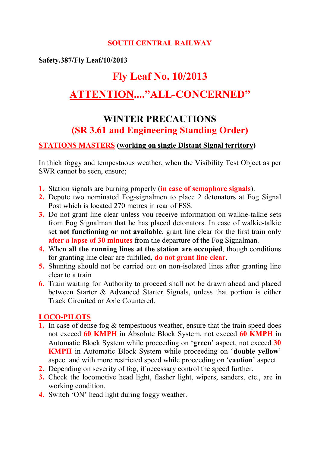## **SOUTH CENTRAL RAILWAY**

# **Safety.387/Fly Leaf/10/2013**

# **Fly Leaf No. 10/2013**

# **ATTENTION...."ALL-CONCERNED"**

# **WINTER PRECAUTIONS (SR 3.61 and Engineering Standing Order)**

## **STATIONS MASTERS (working on single Distant Signal territory)**

In thick foggy and tempestuous weather, when the Visibility Test Object as per SWR cannot be seen, ensure;

- **1.** Station signals are burning properly (**in case of semaphore signals**).
- **2.** Depute two nominated Fog-signalmen to place 2 detonators at Fog Signal Post which is located 270 metres in rear of FSS.
- **3.** Do not grant line clear unless you receive information on walkie-talkie sets from Fog Signalman that he has placed detonators. In case of walkie-talkie set **not functioning or not available**, grant line clear for the first train only **after a lapse of 30 minutes** from the departure of the Fog Signalman.
- **4.** When **all the running lines at the station are occupied**, though conditions for granting line clear are fulfilled, **do not grant line clear**.
- **5.** Shunting should not be carried out on non-isolated lines after granting line clear to a train
- **6.** Train waiting for Authority to proceed shall not be drawn ahead and placed between Starter & Advanced Starter Signals, unless that portion is either Track Circuited or Axle Countered.

#### **LOCO-PILOTS**

- **1.** In case of dense fog & tempestuous weather, ensure that the train speed does not exceed **60 KMPH** in Absolute Block System, not exceed **60 KMPH** in Automatic Block System while proceeding on '**green**' aspect, not exceed **30 KMPH** in Automatic Block System while proceeding on '**double yellow**' aspect and with more restricted speed while proceeding on '**caution**' aspect.
- **2.** Depending on severity of fog, if necessary control the speed further.
- **3.** Check the locomotive head light, flasher light, wipers, sanders, etc., are in working condition.
- **4.** Switch 'ON' head light during foggy weather.